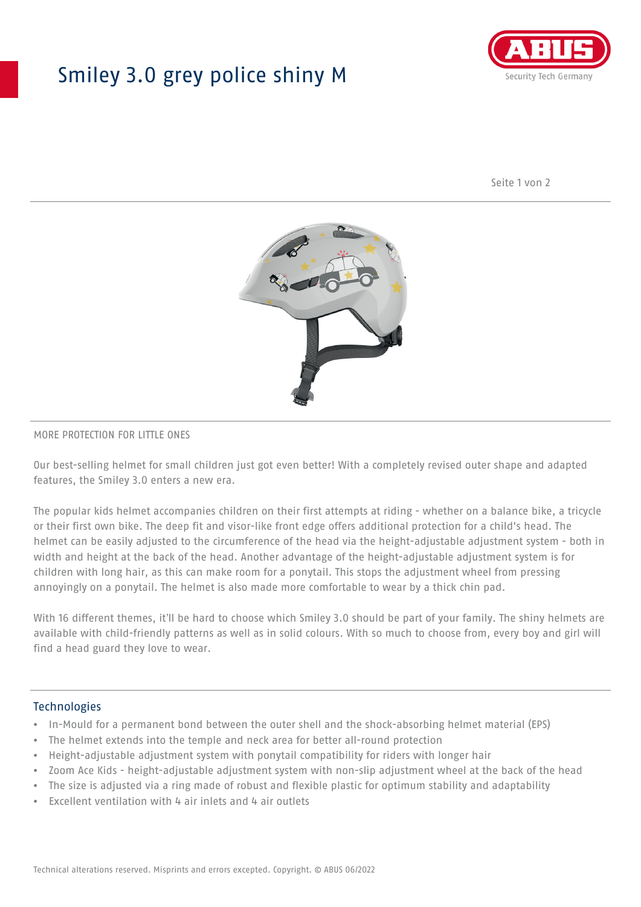## Smiley 3.0 grey police shiny M



Seite 1 von 2



#### MORE PROTECTION FOR LITTLE ONES

Our best-selling helmet for small children just got even better! With a completely revised outer shape and adapted features, the Smiley 3.0 enters a new era.

The popular kids helmet accompanies children on their first attempts at riding - whether on a balance bike, a tricycle or their first own bike. The deep fit and visor-like front edge offers additional protection for a child's head. The helmet can be easily adjusted to the circumference of the head via the height-adjustable adjustment system - both in width and height at the back of the head. Another advantage of the height-adjustable adjustment system is for children with long hair, as this can make room for a ponytail. This stops the adjustment wheel from pressing annoyingly on a ponytail. The helmet is also made more comfortable to wear by a thick chin pad.

With 16 different themes, it'll be hard to choose which Smiley 3.0 should be part of your family. The shiny helmets are available with child-friendly patterns as well as in solid colours. With so much to choose from, every boy and girl will find a head guard they love to wear.

#### Technologies

- In-Mould for a permanent bond between the outer shell and the shock-absorbing helmet material (EPS)
- The helmet extends into the temple and neck area for better all-round protection
- Height-adjustable adjustment system with ponytail compatibility for riders with longer hair
- Zoom Ace Kids height-adjustable adjustment system with non-slip adjustment wheel at the back of the head
- The size is adjusted via a ring made of robust and flexible plastic for optimum stability and adaptability
- Excellent ventilation with 4 air inlets and 4 air outlets